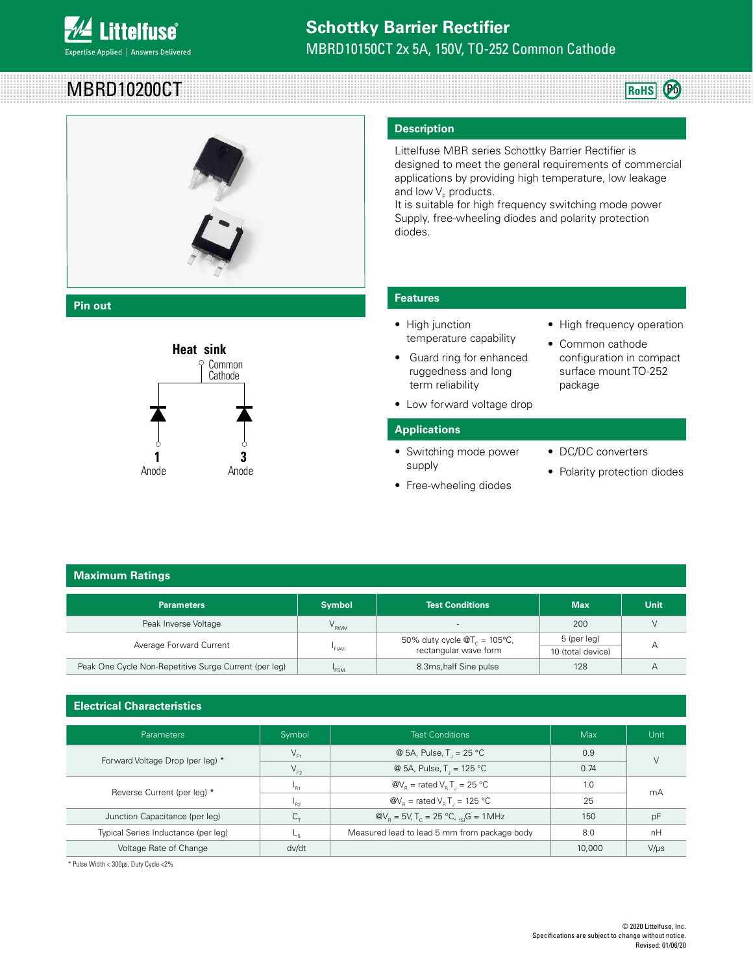

# MBRD10200CT



## **Pin out**



#### **Description**

Littelfuse MBR series Schottky Barrier Rectifier is designed to meet the general requirements of commercial applications by providing high temperature, low leakage and low  $\mathsf{V}_\mathsf{F}$  products.

It is suitable for high frequency switching mode power Supply, free-wheeling diodes and polarity protection diodes.

# **Features**

- High junction temperature capability
- **•** Guard ring for enhanced ruggedness and long term reliability Puu<br>Cummon
	- Low forward voltage drop

#### **Applications**

- Switching mode power **1 2 3 1 2 3** supply
	-

• High frequency operation

**RoHS** Pb

- Common cathode configuration in compact surface mount TO-252 package
- DC/DC converters
- 
- Free-wheeling diodes Cathode

# **Maximum Ratings**

| <b>Parameters</b>                                     | <b>Symbol</b>                                                                      | <b>Test Conditions</b>   | <b>Max</b>  | Unit |
|-------------------------------------------------------|------------------------------------------------------------------------------------|--------------------------|-------------|------|
| Peak Inverse Voltage                                  | V <sub>rwm</sub>                                                                   | $\overline{\phantom{a}}$ | 200         |      |
| Average Forward Current                               | 50% duty cycle $\mathcal{Q}T_c = 105^{\circ}C$ ,<br>rectangular wave form<br>F(AV) |                          | 5 (per leg) |      |
|                                                       |                                                                                    | 10 (total device)        |             |      |
| Peak One Cycle Non-Repetitive Surge Current (per leg) | 'FSN                                                                               | 8.3ms, half Sine pulse   | 128         |      |
|                                                       |                                                                                    |                          |             |      |

# **Electrical Characteristics 1 2 3**

| <b>Parameters</b>                   | Symbol         | <b>Test Conditions</b>                                                  | Max    | Unit      |  |
|-------------------------------------|----------------|-------------------------------------------------------------------------|--------|-----------|--|
| Forward Voltage Drop (per leg) *    | $V_{F1}$       | @ 5A, Pulse, T = $25^{\circ}$ C                                         | 0.9    |           |  |
|                                     | $V_{F2}$       | @ 5A, Pulse, T <sub>,</sub> = 125 °C                                    | 0.74   |           |  |
| Reverse Current (per leg) *         | "R1            | $\omega_{\rm B}$ = rated V <sub>B</sub> T <sub>1</sub> = 25 °C          | 1.0    | mA        |  |
|                                     | R <sub>2</sub> | $\mathcal{Q}V_{\rm o}$ = rated V <sub>e</sub> T <sub>1</sub> = 125 °C   | 25     |           |  |
| Junction Capacitance (per leg)      |                | $\omega_{\rm B} = 5V$ , T <sub>c</sub> = 25 °C, <sub>fsi</sub> G = 1MHz | 150    | pF        |  |
| Typical Series Inductance (per leg) |                | Measured lead to lead 5 mm from package body                            | 8.0    | nH        |  |
| Voltage Rate of Change              | dv/dt          |                                                                         | 10,000 | $V/\mu s$ |  |

\* Pulse Width < 300μs, Duty Cycle <2%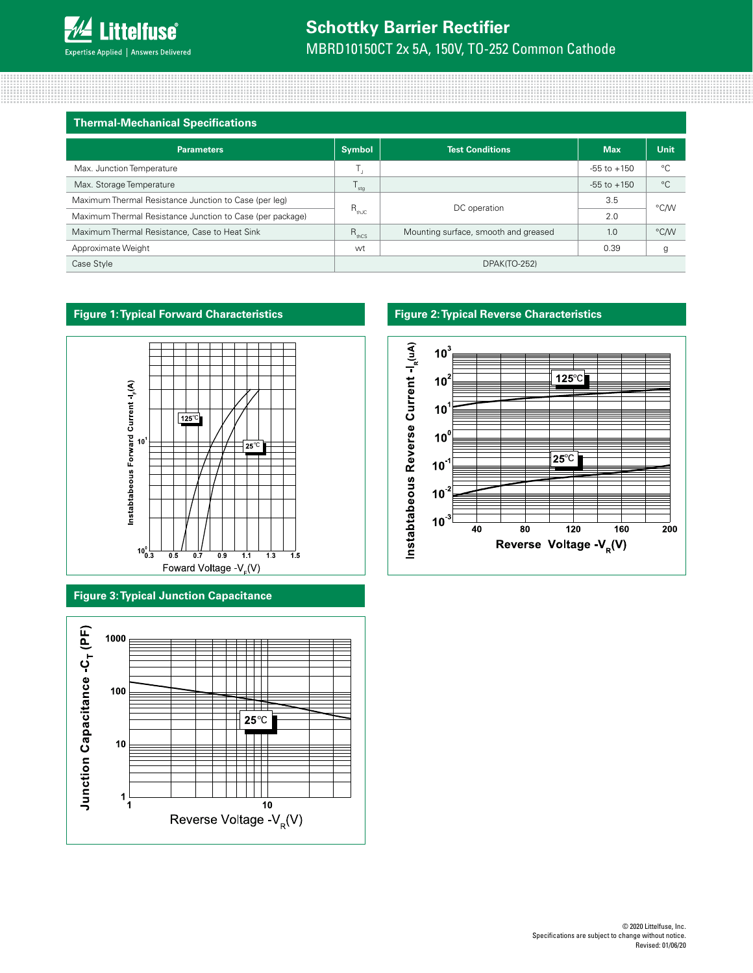# **Schottky Barrier Rectifier**

MBRD10150CT 2x 5A, 150V, TO-252 Common Cathode

| <b>Thermal-Mechanical Specifications</b>                  |                           |                                      |                 |             |
|-----------------------------------------------------------|---------------------------|--------------------------------------|-----------------|-------------|
| <b>Parameters</b>                                         | <b>Symbol</b>             | <b>Test Conditions</b>               | <b>Max</b>      | Unit        |
| Max. Junction Temperature                                 |                           |                                      | $-55$ to $+150$ | °€          |
| Max. Storage Temperature                                  | $\mathsf{I}_{\text{sta}}$ |                                      | $-55$ to $+150$ | $^{\circ}C$ |
| Maximum Thermal Resistance Junction to Case (per leg)     |                           |                                      | 3.5             | °C/W        |
| Maximum Thermal Resistance Junction to Case (per package) | $R_{\text{th}}$           | DC operation                         | 2.0             |             |
| Maximum Thermal Resistance, Case to Heat Sink             | $R_{thCS}$                | Mounting surface, smooth and greased | 1.0             | °C/W        |
| Approximate Weight                                        | wt                        |                                      | 0.39            | g           |
| Case Style                                                | DPAK(TO-252)              |                                      |                 |             |

# **Figure 1: Typical Forward Characteristics**



# **Figure 3: Typical Junction Capacitance**



# **Figure 2: Typical Reverse Characteristics**